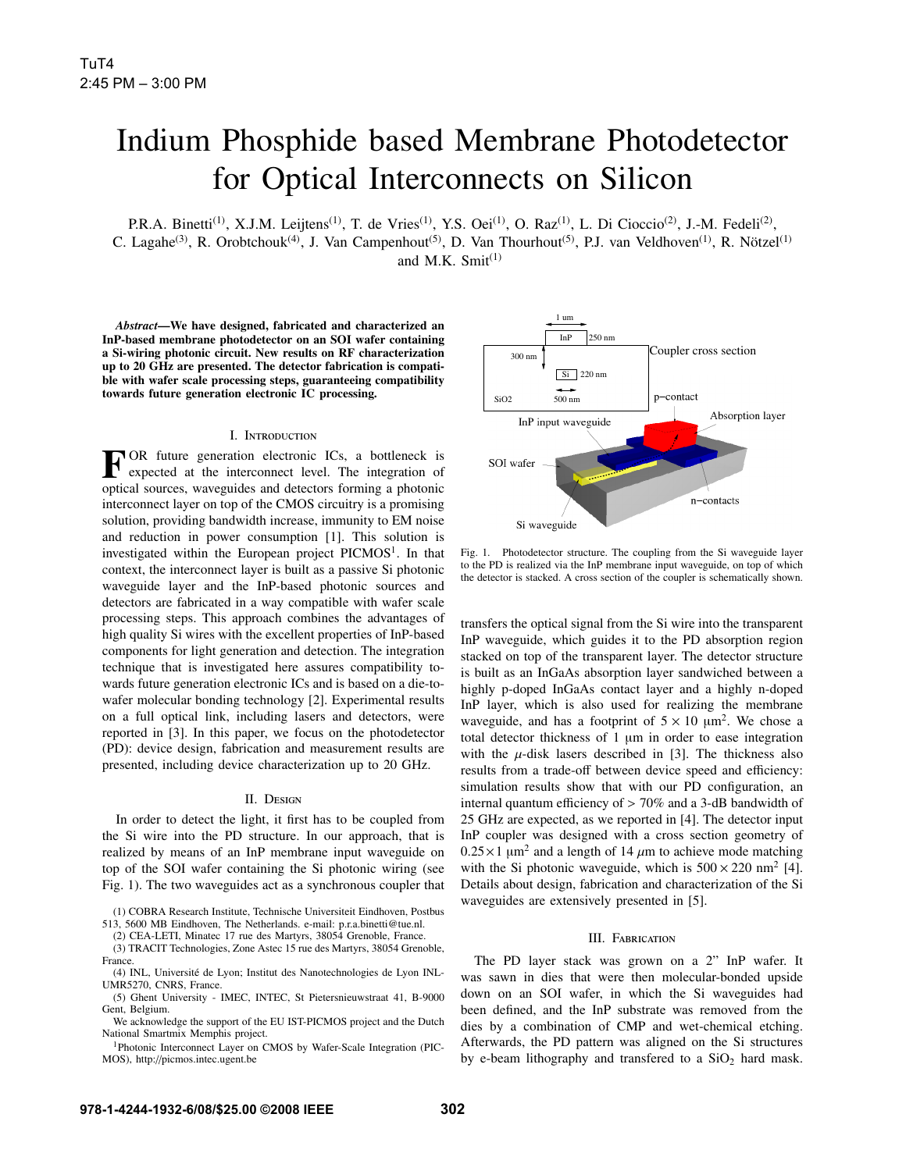## Indium Phosphide based Membrane Photodetector for Optical Interconnects on Silicon

P.R.A. Binetti<sup>(1)</sup>, X.J.M. Leijtens<sup>(1)</sup>, T. de Vries<sup>(1)</sup>, Y.S. Oei<sup>(1)</sup>, O. Raz<sup>(1)</sup>, L. Di Cioccio<sup>(2)</sup>, J.-M. Fedeli<sup>(2)</sup>, C. Lagahe<sup>(3)</sup>, R. Orobtchouk<sup>(4)</sup>, J. Van Campenhout<sup>(5)</sup>, D. Van Thourhout<sup>(5)</sup>, P.J. van Veldhoven<sup>(1)</sup>, R. Nötzel<sup>(1)</sup> and M.K. Smit $^{(1)}$ 

*Abstract*—We have designed, fabricated and characterized an InP-based membrane photodetector on an SOI wafer containing a Si-wiring photonic circuit. New results on RF characterization up to 20 GHz are presented. The detector fabrication is compatible with wafer scale processing steps, guaranteeing compatibility towards future generation electronic IC processing.

#### I. INTRODUCTION

FOR future generation electronic ICs, a bottleneck is<br>expected at the interconnect level. The integration of optical sources, waveguides and detectors forming a photonic interconnect layer on top of the CMOS circuitry is a promising solution, providing bandwidth increase, immunity to EM noise and reduction in power consumption [1]. This solution is investigated within the European project  $PICMOS<sup>1</sup>$ . In that context, the interconnect layer is built as a passive Si photonic waveguide layer and the InP-based photonic sources and detectors are fabricated in a way compatible with wafer scale processing steps. This approach combines the advantages of high quality Si wires with the excellent properties of InP-based components for light generation and detection. The integration technique that is investigated here assures compatibility towards future generation electronic ICs and is based on a die-towafer molecular bonding technology [2]. Experimental results on a full optical link, including lasers and detectors, were reported in [3]. In this paper, we focus on the photodetector (PD): device design, fabrication and measurement results are presented, including device characterization up to 20 GHz.

#### II. DESIGN

In order to detect the light, it first has to be coupled from the Si wire into the PD structure. In our approach, that is realized by means of an InP membrane input waveguide on top of the SOI wafer containing the Si photonic wiring (see Fig. 1). The two waveguides act as a synchronous coupler that

(3) TRACIT Technologies, Zone Astec 15 rue des Martyrs, 38054 Grenoble, France.



Fig. 1. Photodetector structure. The coupling from the Si waveguide layer to the PD is realized via the InP membrane input waveguide, on top of which the detector is stacked. A cross section of the coupler is schematically shown.

transfers the optical signal from the Si wire into the transparent InP waveguide, which guides it to the PD absorption region stacked on top of the transparent layer. The detector structure is built as an InGaAs absorption layer sandwiched between a highly p-doped InGaAs contact layer and a highly n-doped InP layer, which is also used for realizing the membrane waveguide, and has a footprint of  $5 \times 10 \mu m^2$ . We chose a total detector thickness of 1 µm in order to ease integration with the  $\mu$ -disk lasers described in [3]. The thickness also results from a trade-off between device speed and efficiency: simulation results show that with our PD configuration, an internal quantum efficiency of > 70% and a 3-dB bandwidth of 25 GHz are expected, as we reported in [4]. The detector input InP coupler was designed with a cross section geometry of  $0.25 \times 1 \mu m^2$  and a length of 14  $\mu$ m to achieve mode matching with the Si photonic waveguide, which is  $500 \times 220$  nm<sup>2</sup> [4]. Details about design, fabrication and characterization of the Si waveguides are extensively presented in [5].

### **III.** FABRICATION

The PD layer stack was grown on a 2" InP wafer. It was sawn in dies that were then molecular-bonded upside down on an SOI wafer, in which the Si waveguides had been defined, and the InP substrate was removed from the dies by a combination of CMP and wet-chemical etching. Afterwards, the PD pattern was aligned on the Si structures by e-beam lithography and transfered to a  $SiO<sub>2</sub>$  hard mask.

<sup>(1)</sup> COBRA Research Institute, Technische Universiteit Eindhoven, Postbus 513, 5600 MB Eindhoven, The Netherlands. e-mail: p.r.a.binetti@tue.nl.

<sup>(2)</sup> CEA-LETI, Minatec 17 rue des Martyrs, 38054 Grenoble, France.

<sup>(4)</sup> INL, Universite de Lyon; Institut des Nanotechnologies de Lyon INL- ´ UMR5270, CNRS, France.

<sup>(5)</sup> Ghent University - IMEC, INTEC, St Pietersnieuwstraat 41, B-9000 Gent, Belgium.

We acknowledge the support of the EU IST-PICMOS project and the Dutch National Smartmix Memphis project.

<sup>1</sup>Photonic Interconnect Layer on CMOS by Wafer-Scale Integration (PIC-MOS), http://picmos.intec.ugent.be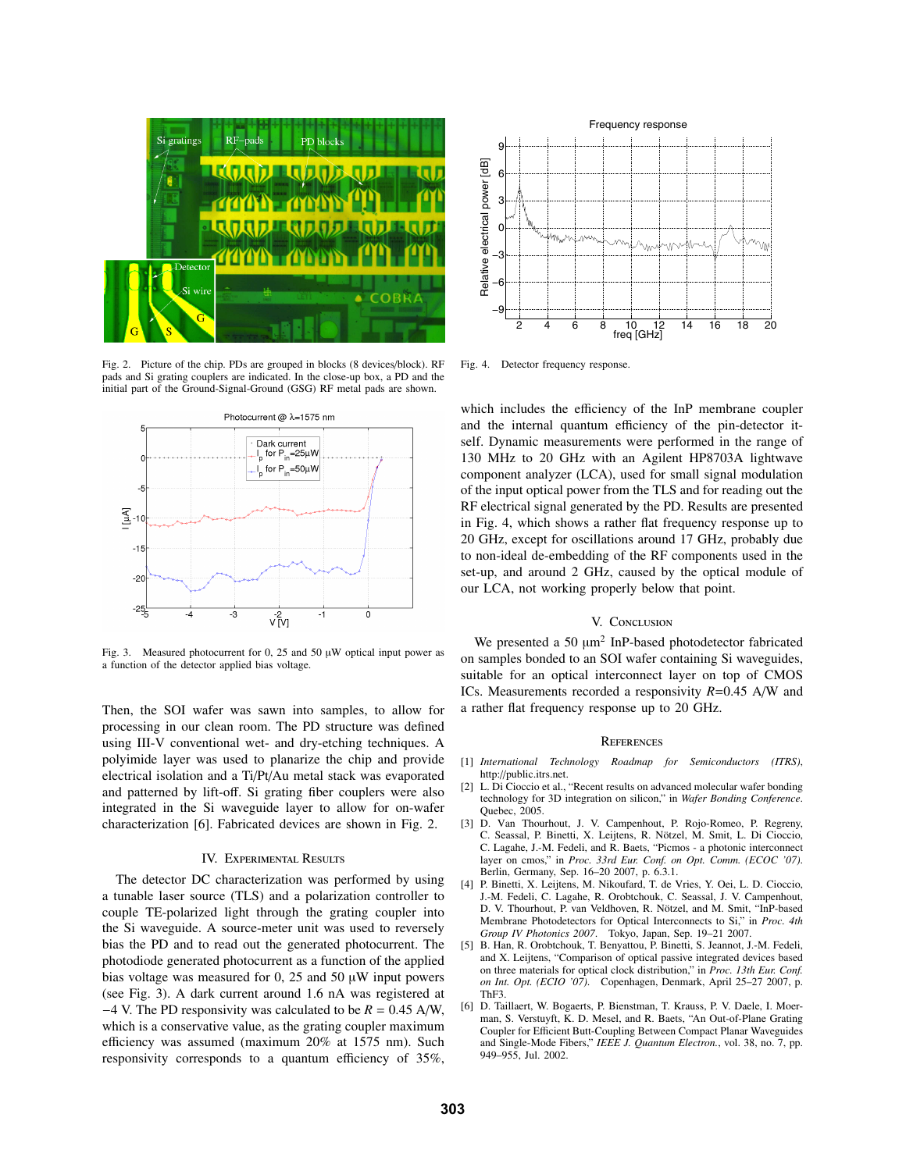

Fig. 2. Picture of the chip. PDs are grouped in blocks (8 devices/block). RF pads and Si grating couplers are indicated. In the close-up box, a PD and the initial part of the Ground-Signal-Ground (GSG) RF metal pads are shown.



Fig. 3. Measured photocurrent for 0, 25 and 50  $\mu$ W optical input power as a function of the detector applied bias voltage.

Then, the SOI wafer was sawn into samples, to allow for processing in our clean room. The PD structure was defined using III-V conventional wet- and dry-etching techniques. A polyimide layer was used to planarize the chip and provide electrical isolation and a Ti/Pt/Au metal stack was evaporated and patterned by lift-off. Si grating fiber couplers were also integrated in the Si waveguide layer to allow for on-wafer characterization [6]. Fabricated devices are shown in Fig. 2.

#### **IV. EXPERIMENTAL RESULTS**

The detector DC characterization was performed by using a tunable laser source (TLS) and a polarization controller to couple TE-polarized light through the grating coupler into the Si waveguide. A source-meter unit was used to reversely bias the PD and to read out the generated photocurrent. The photodiode generated photocurrent as a function of the applied bias voltage was measured for 0, 25 and 50  $\mu$ W input powers (see Fig. 3). A dark current around 1.6 nA was registered at <sup>−</sup>4 V. The PD responsivity was calculated to be *<sup>R</sup>* <sup>=</sup> <sup>0</sup>.45 A/W, which is a conservative value, as the grating coupler maximum efficiency was assumed (maximum 20% at 1575 nm). Such responsivity corresponds to a quantum efficiency of 35%,



Fig. 4. Detector frequency response.

which includes the efficiency of the InP membrane coupler and the internal quantum efficiency of the pin-detector itself. Dynamic measurements were performed in the range of 130 MHz to 20 GHz with an Agilent HP8703A lightwave component analyzer (LCA), used for small signal modulation of the input optical power from the TLS and for reading out the RF electrical signal generated by the PD. Results are presented in Fig. 4, which shows a rather flat frequency response up to 20 GHz, except for oscillations around 17 GHz, probably due to non-ideal de-embedding of the RF components used in the set-up, and around 2 GHz, caused by the optical module of our LCA, not working properly below that point.

#### V. CONCLUSION

We presented a 50  $\mu$ m<sup>2</sup> InP-based photodetector fabricated on samples bonded to an SOI wafer containing Si waveguides, suitable for an optical interconnect layer on top of CMOS ICs. Measurements recorded a responsivity *R*=0.45 A/W and a rather flat frequency response up to 20 GHz.

#### **REFERENCES**

- [1] *International Technology Roadmap for Semiconductors (ITRS)*, http://public.itrs.net.
- [2] L. Di Cioccio et al., "Recent results on advanced molecular wafer bonding technology for 3D integration on silicon," in *Wafer Bonding Conference*. Quebec, 2005.
- [3] D. Van Thourhout, J. V. Campenhout, P. Rojo-Romeo, P. Regreny, C. Seassal, P. Binetti, X. Leijtens, R. Nötzel, M. Smit, L. Di Cioccio, C. Lagahe, J.-M. Fedeli, and R. Baets, "Picmos - a photonic interconnect layer on cmos," in *Proc. 33rd Eur. Conf. on Opt. Comm. (ECOC '07)*. Berlin, Germany, Sep. 16–20 2007, p. 6.3.1.
- [4] P. Binetti, X. Leijtens, M. Nikoufard, T. de Vries, Y. Oei, L. D. Cioccio, J.-M. Fedeli, C. Lagahe, R. Orobtchouk, C. Seassal, J. V. Campenhout, D. V. Thourhout, P. van Veldhoven, R. Nötzel, and M. Smit, "InP-based Membrane Photodetectors for Optical Interconnects to Si," in *Proc. 4th Group IV Photonics 2007*. Tokyo, Japan, Sep. 19–21 2007.
- [5] B. Han, R. Orobtchouk, T. Benyattou, P. Binetti, S. Jeannot, J.-M. Fedeli, and X. Leijtens, "Comparison of optical passive integrated devices based on three materials for optical clock distribution," in *Proc. 13th Eur. Conf. on Int. Opt. (ECIO '07)*. Copenhagen, Denmark, April 25–27 2007, p. ThF3.
- [6] D. Taillaert, W. Bogaerts, P. Bienstman, T. Krauss, P. V. Daele, I. Moerman, S. Verstuyft, K. D. Mesel, and R. Baets, "An Out-of-Plane Grating Coupler for Efficient Butt-Coupling Between Compact Planar Waveguides and Single-Mode Fibers," *IEEE J. Quantum Electron.*, vol. 38, no. 7, pp. 949–955, Jul. 2002.